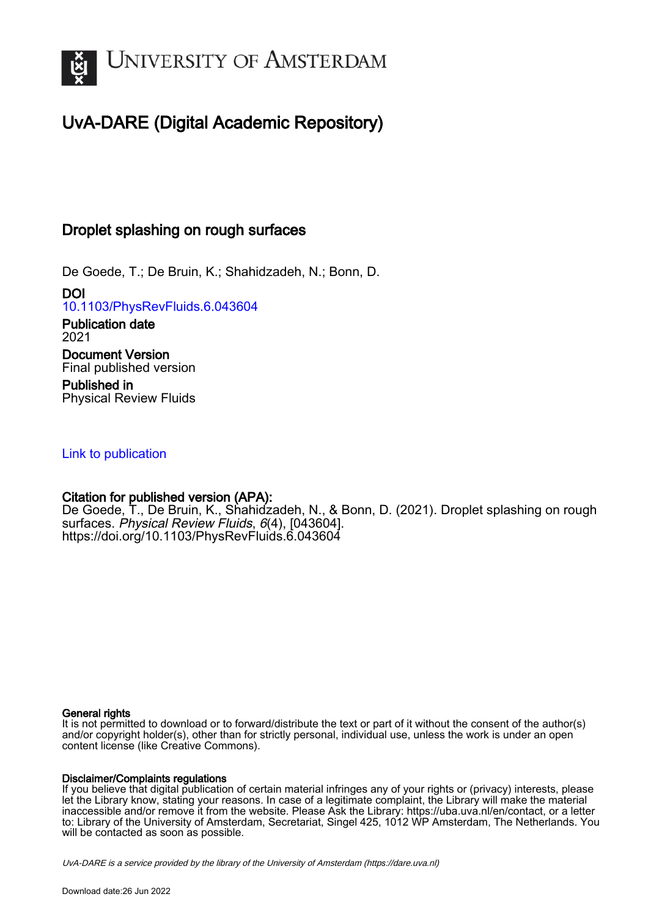

# UvA-DARE (Digital Academic Repository)

## Droplet splashing on rough surfaces

De Goede, T.; De Bruin, K.; Shahidzadeh, N.; Bonn, D.

DOI [10.1103/PhysRevFluids.6.043604](https://doi.org/10.1103/PhysRevFluids.6.043604)

Publication date 2021 Document Version Final published version

Published in Physical Review Fluids

## [Link to publication](https://dare.uva.nl/personal/pure/en/publications/droplet-splashing-on-rough-surfaces(ed3474ec-46c0-4284-92e0-a71d80c8f912).html)

## Citation for published version (APA):

De Goede, T., De Bruin, K., Shahidzadeh, N., & Bonn, D. (2021). Droplet splashing on rough surfaces. Physical Review Fluids, 6(4), [043604]. <https://doi.org/10.1103/PhysRevFluids.6.043604>

#### General rights

It is not permitted to download or to forward/distribute the text or part of it without the consent of the author(s) and/or copyright holder(s), other than for strictly personal, individual use, unless the work is under an open content license (like Creative Commons).

#### Disclaimer/Complaints regulations

If you believe that digital publication of certain material infringes any of your rights or (privacy) interests, please let the Library know, stating your reasons. In case of a legitimate complaint, the Library will make the material inaccessible and/or remove it from the website. Please Ask the Library: https://uba.uva.nl/en/contact, or a letter to: Library of the University of Amsterdam, Secretariat, Singel 425, 1012 WP Amsterdam, The Netherlands. You will be contacted as soon as possible.

UvA-DARE is a service provided by the library of the University of Amsterdam (http*s*://dare.uva.nl)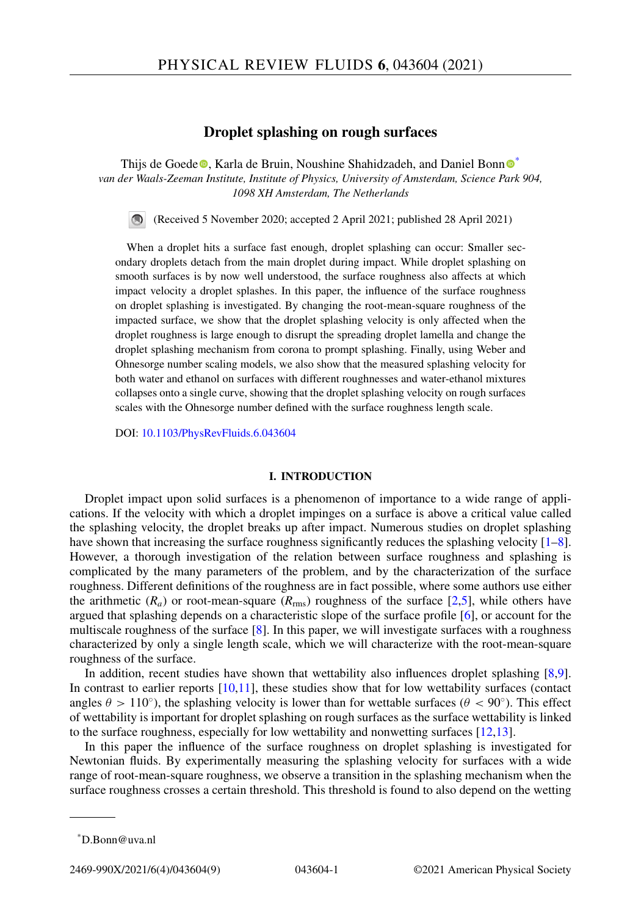#### **Droplet splashing on rough surfaces**

Thijs de Goede  $\odot$ [,](https://orcid.org/0000-0003-0570-2661) Karla de Brui[n](https://orcid.org/0000-0001-8925-1997), Noushine Shahidzadeh, and Daniel Bonn  $\odot$ *van der Waals-Zeeman Institute, Institute of Physics, University of Amsterdam, Science Park 904, 1098 XH Amsterdam, The Netherlands*

(Received 5 November 2020; accepted 2 April 2021; published 28 April 2021)

When a droplet hits a surface fast enough, droplet splashing can occur: Smaller secondary droplets detach from the main droplet during impact. While droplet splashing on smooth surfaces is by now well understood, the surface roughness also affects at which impact velocity a droplet splashes. In this paper, the influence of the surface roughness on droplet splashing is investigated. By changing the root-mean-square roughness of the impacted surface, we show that the droplet splashing velocity is only affected when the droplet roughness is large enough to disrupt the spreading droplet lamella and change the droplet splashing mechanism from corona to prompt splashing. Finally, using Weber and Ohnesorge number scaling models, we also show that the measured splashing velocity for both water and ethanol on surfaces with different roughnesses and water-ethanol mixtures collapses onto a single curve, showing that the droplet splashing velocity on rough surfaces scales with the Ohnesorge number defined with the surface roughness length scale.

DOI: [10.1103/PhysRevFluids.6.043604](https://doi.org/10.1103/PhysRevFluids.6.043604)

#### **I. INTRODUCTION**

Droplet impact upon solid surfaces is a phenomenon of importance to a wide range of applications. If the velocity with which a droplet impinges on a surface is above a critical value called the splashing velocity, the droplet breaks up after impact. Numerous studies on droplet splashing have shown that increasing the surface roughness significantly reduces the splashing velocity  $[1-8]$ . However, a thorough investigation of the relation between surface roughness and splashing is complicated by the many parameters of the problem, and by the characterization of the surface roughness. Different definitions of the roughness are in fact possible, where some authors use either the arithmetic  $(R_a)$  or root-mean-square  $(R_{\text{rms}})$  roughness of the surface [\[2,5\]](#page-9-0), while others have argued that splashing depends on a characteristic slope of the surface profile [\[6\]](#page-9-0), or account for the multiscale roughness of the surface  $[8]$ . In this paper, we will investigate surfaces with a roughness characterized by only a single length scale, which we will characterize with the root-mean-square roughness of the surface.

In addition, recent studies have shown that wettability also influences droplet splashing [\[8,9\]](#page-9-0). In contrast to earlier reports [\[10,11\]](#page-9-0), these studies show that for low wettability surfaces (contact angles  $\theta > 110°$ ), the splashing velocity is lower than for wettable surfaces ( $\theta < 90°$ ). This effect of wettability is important for droplet splashing on rough surfaces as the surface wettability is linked to the surface roughness, especially for low wettability and nonwetting surfaces  $[12,13]$ .

In this paper the influence of the surface roughness on droplet splashing is investigated for Newtonian fluids. By experimentally measuring the splashing velocity for surfaces with a wide range of root-mean-square roughness, we observe a transition in the splashing mechanism when the surface roughness crosses a certain threshold. This threshold is found to also depend on the wetting

<sup>\*</sup>D.Bonn@uva.nl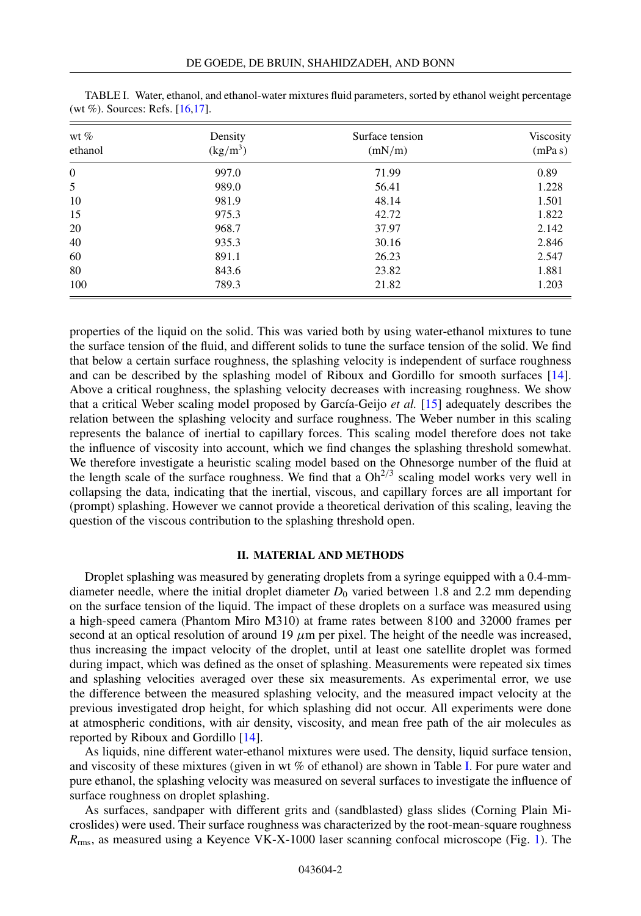| wt $%$<br>ethanol | Density<br>(kg/m <sup>3</sup> ) | Surface tension<br>(mN/m) | Viscosity<br>(mPa s) |
|-------------------|---------------------------------|---------------------------|----------------------|
| $\mathbf{0}$      | 997.0                           | 71.99                     | 0.89                 |
| 5                 | 989.0                           | 56.41                     | 1.228                |
| 10                | 981.9                           | 48.14                     | 1.501                |
| 15                | 975.3                           | 42.72                     | 1.822                |
| 20                | 968.7                           | 37.97                     | 2.142                |
| 40                | 935.3                           | 30.16                     | 2.846                |
| 60                | 891.1                           | 26.23                     | 2.547                |
| 80                | 843.6                           | 23.82                     | 1.881                |
| 100               | 789.3                           | 21.82                     | 1.203                |

TABLE I. Water, ethanol, and ethanol-water mixtures fluid parameters, sorted by ethanol weight percentage (wt %). Sources: Refs. [\[16,17\]](#page-9-0).

properties of the liquid on the solid. This was varied both by using water-ethanol mixtures to tune the surface tension of the fluid, and different solids to tune the surface tension of the solid. We find that below a certain surface roughness, the splashing velocity is independent of surface roughness and can be described by the splashing model of Riboux and Gordillo for smooth surfaces [\[14\]](#page-9-0). Above a critical roughness, the splashing velocity decreases with increasing roughness. We show that a critical Weber scaling model proposed by García-Geijo *et al.* [\[15\]](#page-9-0) adequately describes the relation between the splashing velocity and surface roughness. The Weber number in this scaling represents the balance of inertial to capillary forces. This scaling model therefore does not take the influence of viscosity into account, which we find changes the splashing threshold somewhat. We therefore investigate a heuristic scaling model based on the Ohnesorge number of the fluid at the length scale of the surface roughness. We find that a  $Oh<sup>2/3</sup>$  scaling model works very well in collapsing the data, indicating that the inertial, viscous, and capillary forces are all important for (prompt) splashing. However we cannot provide a theoretical derivation of this scaling, leaving the question of the viscous contribution to the splashing threshold open.

#### **II. MATERIAL AND METHODS**

Droplet splashing was measured by generating droplets from a syringe equipped with a 0.4-mmdiameter needle, where the initial droplet diameter  $D_0$  varied between 1.8 and 2.2 mm depending on the surface tension of the liquid. The impact of these droplets on a surface was measured using a high-speed camera (Phantom Miro M310) at frame rates between 8100 and 32000 frames per second at an optical resolution of around 19  $\mu$ m per pixel. The height of the needle was increased, thus increasing the impact velocity of the droplet, until at least one satellite droplet was formed during impact, which was defined as the onset of splashing. Measurements were repeated six times and splashing velocities averaged over these six measurements. As experimental error, we use the difference between the measured splashing velocity, and the measured impact velocity at the previous investigated drop height, for which splashing did not occur. All experiments were done at atmospheric conditions, with air density, viscosity, and mean free path of the air molecules as reported by Riboux and Gordillo [\[14\]](#page-9-0).

As liquids, nine different water-ethanol mixtures were used. The density, liquid surface tension, and viscosity of these mixtures (given in wt  $\%$  of ethanol) are shown in Table I. For pure water and pure ethanol, the splashing velocity was measured on several surfaces to investigate the influence of surface roughness on droplet splashing.

As surfaces, sandpaper with different grits and (sandblasted) glass slides (Corning Plain Microslides) were used. Their surface roughness was characterized by the root-mean-square roughness *R*rms, as measured using a Keyence VK-X-1000 laser scanning confocal microscope (Fig. [1\)](#page-3-0). The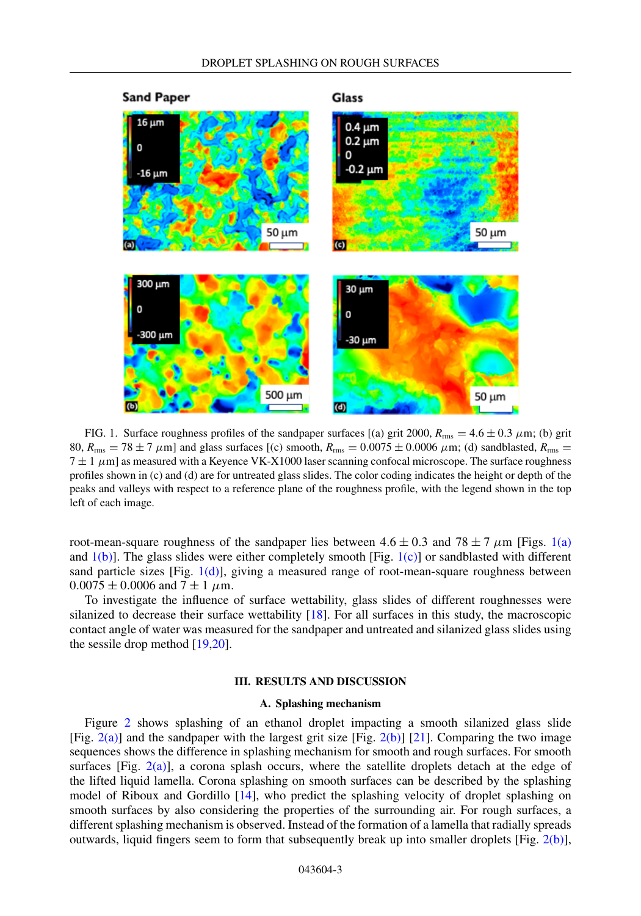<span id="page-3-0"></span>

FIG. 1. Surface roughness profiles of the sandpaper surfaces [(a) grit 2000,  $R_{\text{rms}} = 4.6 \pm 0.3 \mu \text{m}$ ; (b) grit 80,  $R_{\text{rms}} = 78 \pm 7 \ \mu \text{m}$ ] and glass surfaces [(c) smooth,  $R_{\text{rms}} = 0.0075 \pm 0.0006 \ \mu \text{m}$ ; (d) sandblasted,  $R_{\text{rms}} =$  $7 \pm 1 \ \mu$ m] as measured with a Keyence VK-X1000 laser scanning confocal microscope. The surface roughness profiles shown in (c) and (d) are for untreated glass slides. The color coding indicates the height or depth of the peaks and valleys with respect to a reference plane of the roughness profile, with the legend shown in the top left of each image.

root-mean-square roughness of the sandpaper lies between  $4.6 \pm 0.3$  and  $78 \pm 7 \mu$ m [Figs. 1(a) and  $1(b)$ ]. The glass slides were either completely smooth [Fig.  $1(c)$ ] or sandblasted with different sand particle sizes [Fig. 1(d)], giving a measured range of root-mean-square roughness between  $0.0075 \pm 0.0006$  and  $7 \pm 1$   $\mu$ m.

To investigate the influence of surface wettability, glass slides of different roughnesses were silanized to decrease their surface wettability [\[18\]](#page-9-0). For all surfaces in this study, the macroscopic contact angle of water was measured for the sandpaper and untreated and silanized glass slides using the sessile drop method [\[19,20\]](#page-9-0).

#### **III. RESULTS AND DISCUSSION**

#### **A. Splashing mechanism**

Figure [2](#page-4-0) shows splashing of an ethanol droplet impacting a smooth silanized glass slide [Fig. [2\(a\)\]](#page-4-0) and the sandpaper with the largest grit size [Fig. [2\(b\)\]](#page-4-0) [\[21\]](#page-9-0). Comparing the two image sequences shows the difference in splashing mechanism for smooth and rough surfaces. For smooth surfaces [Fig. [2\(a\)\]](#page-4-0), a corona splash occurs, where the satellite droplets detach at the edge of the lifted liquid lamella. Corona splashing on smooth surfaces can be described by the splashing model of Riboux and Gordillo [\[14\]](#page-9-0), who predict the splashing velocity of droplet splashing on smooth surfaces by also considering the properties of the surrounding air. For rough surfaces, a different splashing mechanism is observed. Instead of the formation of a lamella that radially spreads outwards, liquid fingers seem to form that subsequently break up into smaller droplets [Fig.  $2(b)$ ],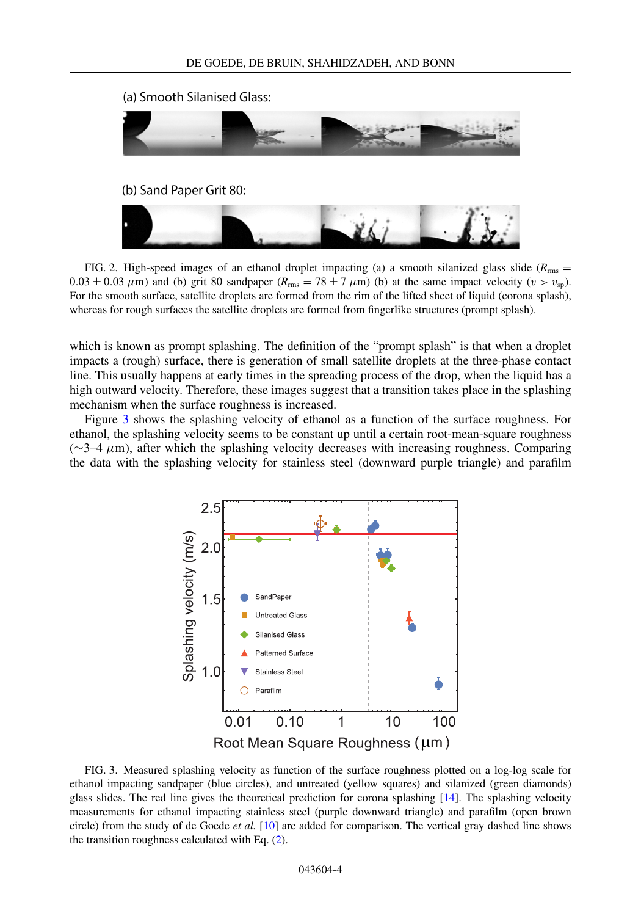<span id="page-4-0"></span>

FIG. 2. High-speed images of an ethanol droplet impacting (a) a smooth silanized glass slide ( $R_{\text{rms}}$  =  $0.03 \pm 0.03 \ \mu$ m) and (b) grit 80 sandpaper ( $R_{\text{rms}} = 78 \pm 7 \ \mu$ m) (b) at the same impact velocity ( $v > v_{\text{sp}}$ ). For the smooth surface, satellite droplets are formed from the rim of the lifted sheet of liquid (corona splash), whereas for rough surfaces the satellite droplets are formed from fingerlike structures (prompt splash).

which is known as prompt splashing. The definition of the "prompt splash" is that when a droplet impacts a (rough) surface, there is generation of small satellite droplets at the three-phase contact line. This usually happens at early times in the spreading process of the drop, when the liquid has a high outward velocity. Therefore, these images suggest that a transition takes place in the splashing mechanism when the surface roughness is increased.

Figure 3 shows the splashing velocity of ethanol as a function of the surface roughness. For ethanol, the splashing velocity seems to be constant up until a certain root-mean-square roughness  $(∼3-4 μm)$ , after which the splashing velocity decreases with increasing roughness. Comparing the data with the splashing velocity for stainless steel (downward purple triangle) and parafilm

![](_page_4_Figure_5.jpeg)

FIG. 3. Measured splashing velocity as function of the surface roughness plotted on a log-log scale for ethanol impacting sandpaper (blue circles), and untreated (yellow squares) and silanized (green diamonds) glass slides. The red line gives the theoretical prediction for corona splashing [\[14\]](#page-9-0). The splashing velocity measurements for ethanol impacting stainless steel (purple downward triangle) and parafilm (open brown circle) from the study of de Goede *et al.* [\[10\]](#page-9-0) are added for comparison. The vertical gray dashed line shows the transition roughness calculated with Eq. [\(2\)](#page-8-0).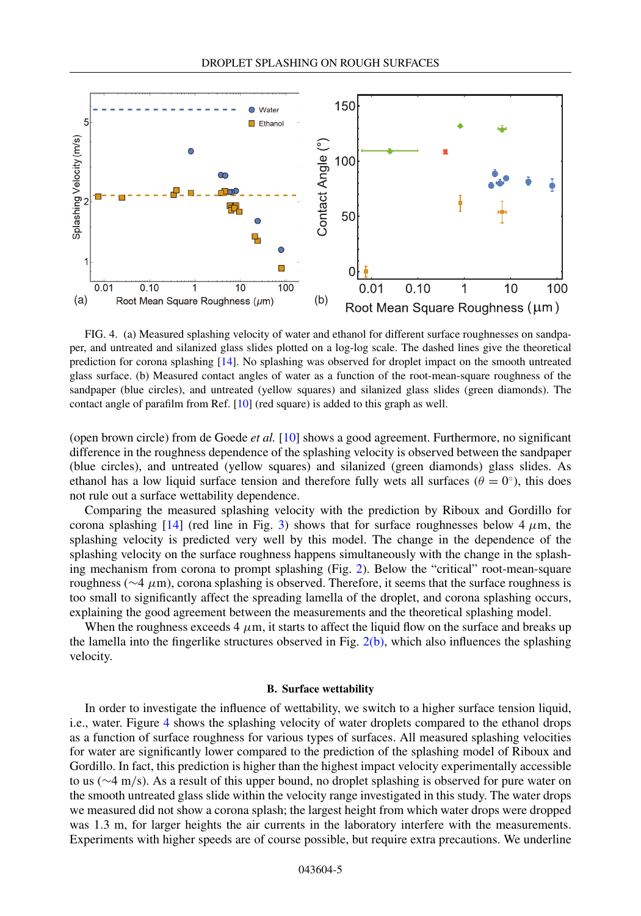<span id="page-5-0"></span>![](_page_5_Figure_1.jpeg)

FIG. 4. (a) Measured splashing velocity of water and ethanol for different surface roughnesses on sandpaper, and untreated and silanized glass slides plotted on a log-log scale. The dashed lines give the theoretical prediction for corona splashing [\[14\]](#page-9-0). No splashing was observed for droplet impact on the smooth untreated glass surface. (b) Measured contact angles of water as a function of the root-mean-square roughness of the sandpaper (blue circles), and untreated (yellow squares) and silanized glass slides (green diamonds). The contact angle of parafilm from Ref. [\[10\]](#page-9-0) (red square) is added to this graph as well.

(open brown circle) from de Goede *et al.* [\[10\]](#page-9-0) shows a good agreement. Furthermore, no significant difference in the roughness dependence of the splashing velocity is observed between the sandpaper (blue circles), and untreated (yellow squares) and silanized (green diamonds) glass slides. As ethanol has a low liquid surface tension and therefore fully wets all surfaces ( $\theta = 0^\circ$ ), this does not rule out a surface wettability dependence.

Comparing the measured splashing velocity with the prediction by Riboux and Gordillo for corona splashing  $[14]$  (red line in Fig. [3\)](#page-4-0) shows that for surface roughnesses below  $4 \mu m$ , the splashing velocity is predicted very well by this model. The change in the dependence of the splashing velocity on the surface roughness happens simultaneously with the change in the splashing mechanism from corona to prompt splashing (Fig. [2\)](#page-4-0). Below the "critical" root-mean-square roughness ( $∼4 \mu m$ ), corona splashing is observed. Therefore, it seems that the surface roughness is too small to significantly affect the spreading lamella of the droplet, and corona splashing occurs, explaining the good agreement between the measurements and the theoretical splashing model.

When the roughness exceeds 4  $\mu$ m, it starts to affect the liquid flow on the surface and breaks up the lamella into the fingerlike structures observed in Fig.  $2(b)$ , which also influences the splashing velocity.

#### **B. Surface wettability**

In order to investigate the influence of wettability, we switch to a higher surface tension liquid, i.e., water. Figure 4 shows the splashing velocity of water droplets compared to the ethanol drops as a function of surface roughness for various types of surfaces. All measured splashing velocities for water are significantly lower compared to the prediction of the splashing model of Riboux and Gordillo. In fact, this prediction is higher than the highest impact velocity experimentally accessible to us (∼4 m/s). As a result of this upper bound, no droplet splashing is observed for pure water on the smooth untreated glass slide within the velocity range investigated in this study. The water drops we measured did not show a corona splash; the largest height from which water drops were dropped was 1.3 m, for larger heights the air currents in the laboratory interfere with the measurements. Experiments with higher speeds are of course possible, but require extra precautions. We underline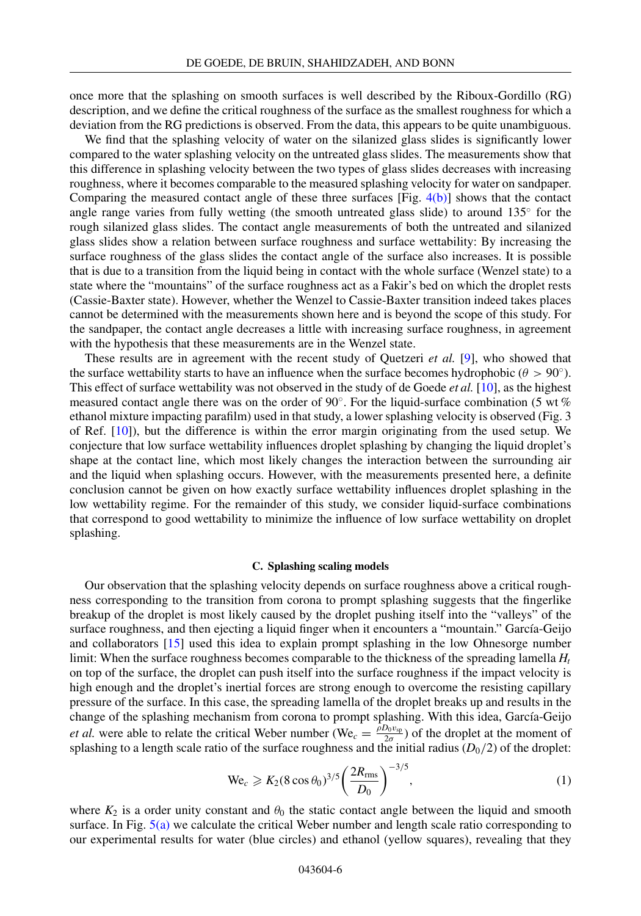<span id="page-6-0"></span>once more that the splashing on smooth surfaces is well described by the Riboux-Gordillo (RG) description, and we define the critical roughness of the surface as the smallest roughness for which a deviation from the RG predictions is observed. From the data, this appears to be quite unambiguous.

We find that the splashing velocity of water on the silanized glass slides is significantly lower compared to the water splashing velocity on the untreated glass slides. The measurements show that this difference in splashing velocity between the two types of glass slides decreases with increasing roughness, where it becomes comparable to the measured splashing velocity for water on sandpaper. Comparing the measured contact angle of these three surfaces  $[Fig. 4(b)]$  $[Fig. 4(b)]$  shows that the contact angle range varies from fully wetting (the smooth untreated glass slide) to around  $135^\circ$  for the rough silanized glass slides. The contact angle measurements of both the untreated and silanized glass slides show a relation between surface roughness and surface wettability: By increasing the surface roughness of the glass slides the contact angle of the surface also increases. It is possible that is due to a transition from the liquid being in contact with the whole surface (Wenzel state) to a state where the "mountains" of the surface roughness act as a Fakir's bed on which the droplet rests (Cassie-Baxter state). However, whether the Wenzel to Cassie-Baxter transition indeed takes places cannot be determined with the measurements shown here and is beyond the scope of this study. For the sandpaper, the contact angle decreases a little with increasing surface roughness, in agreement with the hypothesis that these measurements are in the Wenzel state.

These results are in agreement with the recent study of Quetzeri *et al.* [\[9\]](#page-9-0), who showed that the surface wettability starts to have an influence when the surface becomes hydrophobic ( $\theta > 90°$ ). This effect of surface wettability was not observed in the study of de Goede *et al.* [\[10\]](#page-9-0), as the highest measured contact angle there was on the order of 90◦. For the liquid-surface combination (5 wt % ethanol mixture impacting parafilm) used in that study, a lower splashing velocity is observed (Fig. 3 of Ref. [\[10\]](#page-9-0)), but the difference is within the error margin originating from the used setup. We conjecture that low surface wettability influences droplet splashing by changing the liquid droplet's shape at the contact line, which most likely changes the interaction between the surrounding air and the liquid when splashing occurs. However, with the measurements presented here, a definite conclusion cannot be given on how exactly surface wettability influences droplet splashing in the low wettability regime. For the remainder of this study, we consider liquid-surface combinations that correspond to good wettability to minimize the influence of low surface wettability on droplet splashing.

#### **C. Splashing scaling models**

Our observation that the splashing velocity depends on surface roughness above a critical roughness corresponding to the transition from corona to prompt splashing suggests that the fingerlike breakup of the droplet is most likely caused by the droplet pushing itself into the "valleys" of the surface roughness, and then ejecting a liquid finger when it encounters a "mountain." García-Geijo and collaborators [\[15\]](#page-9-0) used this idea to explain prompt splashing in the low Ohnesorge number limit: When the surface roughness becomes comparable to the thickness of the spreading lamella *Ht* on top of the surface, the droplet can push itself into the surface roughness if the impact velocity is high enough and the droplet's inertial forces are strong enough to overcome the resisting capillary pressure of the surface. In this case, the spreading lamella of the droplet breaks up and results in the change of the splashing mechanism from corona to prompt splashing. With this idea, García-Geijo *et al.* were able to relate the critical Weber number (We<sub>c</sub> =  $\frac{\rho D_0 v_{sp}}{2\sigma}$ ) of the droplet at the moment of splashing to a length scale ratio of the surface roughness and the initial radius  $(D_0/2)$  of the droplet:

$$
\text{We}_c \geqslant K_2 (8 \cos \theta_0)^{3/5} \left( \frac{2R_{\text{rms}}}{D_0} \right)^{-3/5},\tag{1}
$$

where  $K_2$  is a order unity constant and  $\theta_0$  the static contact angle between the liquid and smooth surface. In Fig. [5\(a\)](#page-7-0) we calculate the critical Weber number and length scale ratio corresponding to our experimental results for water (blue circles) and ethanol (yellow squares), revealing that they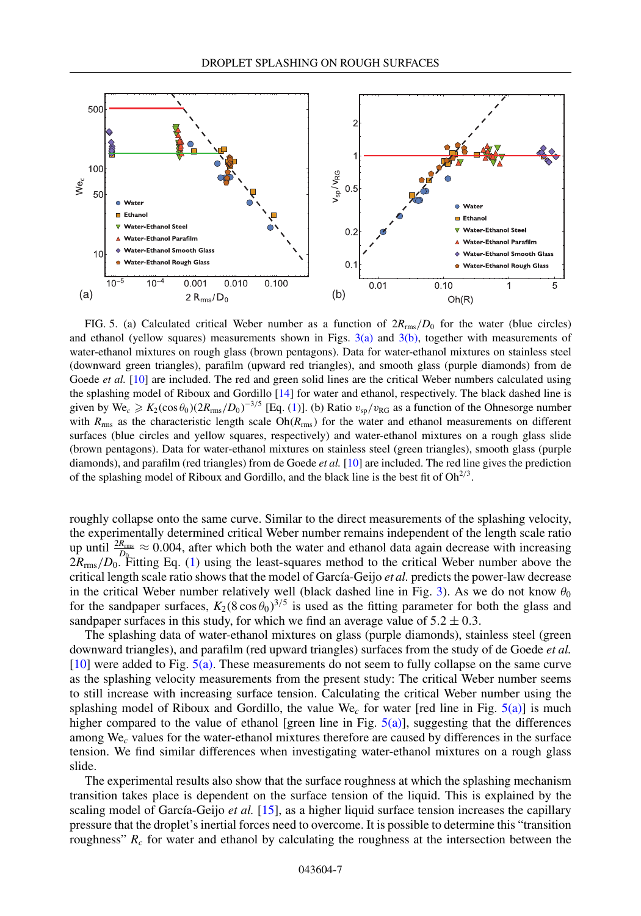<span id="page-7-0"></span>![](_page_7_Figure_1.jpeg)

FIG. 5. (a) Calculated critical Weber number as a function of 2*R*rms/*D*<sup>0</sup> for the water (blue circles) and ethanol (yellow squares) measurements shown in Figs.  $3(a)$  and  $3(b)$ , together with measurements of water-ethanol mixtures on rough glass (brown pentagons). Data for water-ethanol mixtures on stainless steel (downward green triangles), parafilm (upward red triangles), and smooth glass (purple diamonds) from de Goede *et al.* [\[10\]](#page-9-0) are included. The red and green solid lines are the critical Weber numbers calculated using the splashing model of Riboux and Gordillo [\[14\]](#page-9-0) for water and ethanol, respectively. The black dashed line is given by  $\text{We}_c \geqslant K_2(\cos \theta_0) (2R_{\text{rms}}/D_0)^{-3/5}$  [Eq. [\(1\)](#page-6-0)]. (b) Ratio  $v_{sp}/v_{RG}$  as a function of the Ohnesorge number with  $R_{\text{rms}}$  as the characteristic length scale  $Oh(R_{\text{rms}})$  for the water and ethanol measurements on different surfaces (blue circles and yellow squares, respectively) and water-ethanol mixtures on a rough glass slide (brown pentagons). Data for water-ethanol mixtures on stainless steel (green triangles), smooth glass (purple diamonds), and parafilm (red triangles) from de Goede *et al.* [\[10\]](#page-9-0) are included. The red line gives the prediction of the splashing model of Riboux and Gordillo, and the black line is the best fit of  $Oh<sup>2/3</sup>$ .

roughly collapse onto the same curve. Similar to the direct measurements of the splashing velocity, the experimentally determined critical Weber number remains independent of the length scale ratio up until  $\frac{2R_{\text{rms}}}{D_{\text{Q}}} \approx 0.004$ , after which both the water and ethanol data again decrease with increasing 2*R*rms/*D*0. Fitting Eq. [\(1\)](#page-6-0) using the least-squares method to the critical Weber number above the critical length scale ratio shows that the model of García-Geijo *et al.* predicts the power-law decrease in the critical Weber number relatively well (black dashed line in Fig. [3\)](#page-4-0). As we do not know  $\theta_0$ for the sandpaper surfaces,  $K_2(8\cos\theta_0)^{3/5}$  is used as the fitting parameter for both the glass and sandpaper surfaces in this study, for which we find an average value of  $5.2 \pm 0.3$ .

The splashing data of water-ethanol mixtures on glass (purple diamonds), stainless steel (green downward triangles), and parafilm (red upward triangles) surfaces from the study of de Goede *et al.*  $[10]$  were added to Fig. 5(a). These measurements do not seem to fully collapse on the same curve as the splashing velocity measurements from the present study: The critical Weber number seems to still increase with increasing surface tension. Calculating the critical Weber number using the splashing model of Riboux and Gordillo, the value We*<sup>c</sup>* for water [red line in Fig. 5(a)] is much higher compared to the value of ethanol [green line in Fig. 5(a)], suggesting that the differences among We*<sup>c</sup>* values for the water-ethanol mixtures therefore are caused by differences in the surface tension. We find similar differences when investigating water-ethanol mixtures on a rough glass slide.

The experimental results also show that the surface roughness at which the splashing mechanism transition takes place is dependent on the surface tension of the liquid. This is explained by the scaling model of García-Geijo *et al.* [\[15\]](#page-9-0), as a higher liquid surface tension increases the capillary pressure that the droplet's inertial forces need to overcome. It is possible to determine this "transition roughness"  $R_c$  for water and ethanol by calculating the roughness at the intersection between the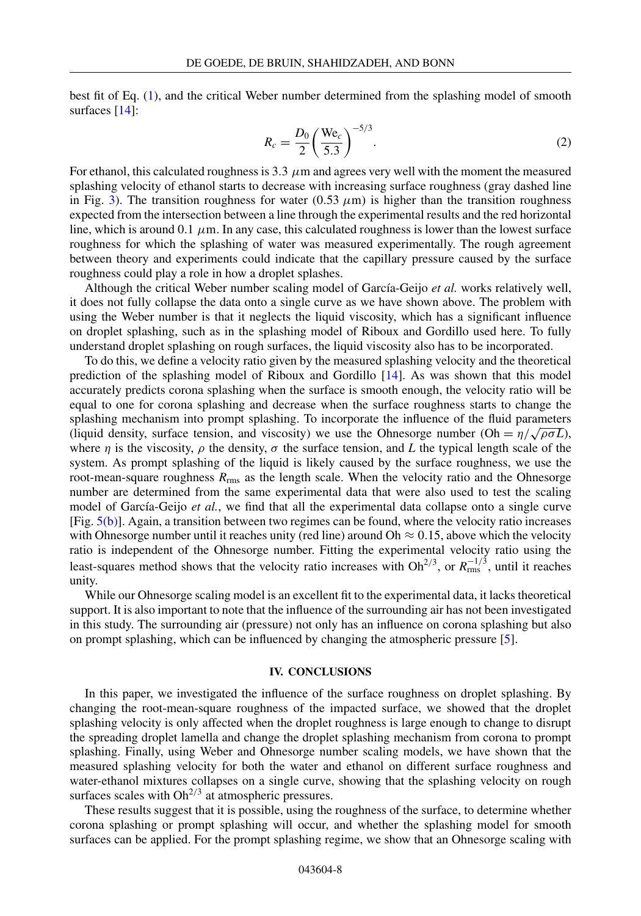<span id="page-8-0"></span>best fit of Eq. [\(1\)](#page-6-0), and the critical Weber number determined from the splashing model of smooth surfaces [\[14\]](#page-9-0):

$$
R_c = \frac{D_0}{2} \left(\frac{\text{We}_c}{5.3}\right)^{-5/3}.
$$
 (2)

For ethanol, this calculated roughness is  $3.3 \mu$ m and agrees very well with the moment the measured splashing velocity of ethanol starts to decrease with increasing surface roughness (gray dashed line in Fig. [3\)](#page-4-0). The transition roughness for water (0.53  $\mu$ m) is higher than the transition roughness expected from the intersection between a line through the experimental results and the red horizontal line, which is around 0.1  $\mu$ m. In any case, this calculated roughness is lower than the lowest surface roughness for which the splashing of water was measured experimentally. The rough agreement between theory and experiments could indicate that the capillary pressure caused by the surface roughness could play a role in how a droplet splashes.

Although the critical Weber number scaling model of García-Geijo *et al.* works relatively well, it does not fully collapse the data onto a single curve as we have shown above. The problem with using the Weber number is that it neglects the liquid viscosity, which has a significant influence on droplet splashing, such as in the splashing model of Riboux and Gordillo used here. To fully understand droplet splashing on rough surfaces, the liquid viscosity also has to be incorporated.

To do this, we define a velocity ratio given by the measured splashing velocity and the theoretical prediction of the splashing model of Riboux and Gordillo [\[14\]](#page-9-0). As was shown that this model accurately predicts corona splashing when the surface is smooth enough, the velocity ratio will be equal to one for corona splashing and decrease when the surface roughness starts to change the splashing mechanism into prompt splashing. To incorporate the influence of the fluid parameters (liquid density, surface tension, and viscosity) we use the Ohnesorge number (Oh =  $\eta/\sqrt{\rho\sigma L}$ ), where  $\eta$  is the viscosity,  $\rho$  the density,  $\sigma$  the surface tension, and *L* the typical length scale of the system. As prompt splashing of the liquid is likely caused by the surface roughness, we use the root-mean-square roughness *R*rms as the length scale. When the velocity ratio and the Ohnesorge number are determined from the same experimental data that were also used to test the scaling model of García-Geijo *et al.*, we find that all the experimental data collapse onto a single curve [Fig. [5\(b\)\]](#page-7-0). Again, a transition between two regimes can be found, where the velocity ratio increases with Ohnesorge number until it reaches unity (red line) around Oh  $\approx 0.15$ , above which the velocity ratio is independent of the Ohnesorge number. Fitting the experimental velocity ratio using the least-squares method shows that the velocity ratio increases with  $Oh^{2/3}$ , or  $R_{rms}^{-1/3}$ , until it reaches unity.

While our Ohnesorge scaling model is an excellent fit to the experimental data, it lacks theoretical support. It is also important to note that the influence of the surrounding air has not been investigated in this study. The surrounding air (pressure) not only has an influence on corona splashing but also on prompt splashing, which can be influenced by changing the atmospheric pressure [\[5\]](#page-9-0).

#### **IV. CONCLUSIONS**

In this paper, we investigated the influence of the surface roughness on droplet splashing. By changing the root-mean-square roughness of the impacted surface, we showed that the droplet splashing velocity is only affected when the droplet roughness is large enough to change to disrupt the spreading droplet lamella and change the droplet splashing mechanism from corona to prompt splashing. Finally, using Weber and Ohnesorge number scaling models, we have shown that the measured splashing velocity for both the water and ethanol on different surface roughness and water-ethanol mixtures collapses on a single curve, showing that the splashing velocity on rough surfaces scales with  $Oh<sup>2/3</sup>$  at atmospheric pressures.

These results suggest that it is possible, using the roughness of the surface, to determine whether corona splashing or prompt splashing will occur, and whether the splashing model for smooth surfaces can be applied. For the prompt splashing regime, we show that an Ohnesorge scaling with